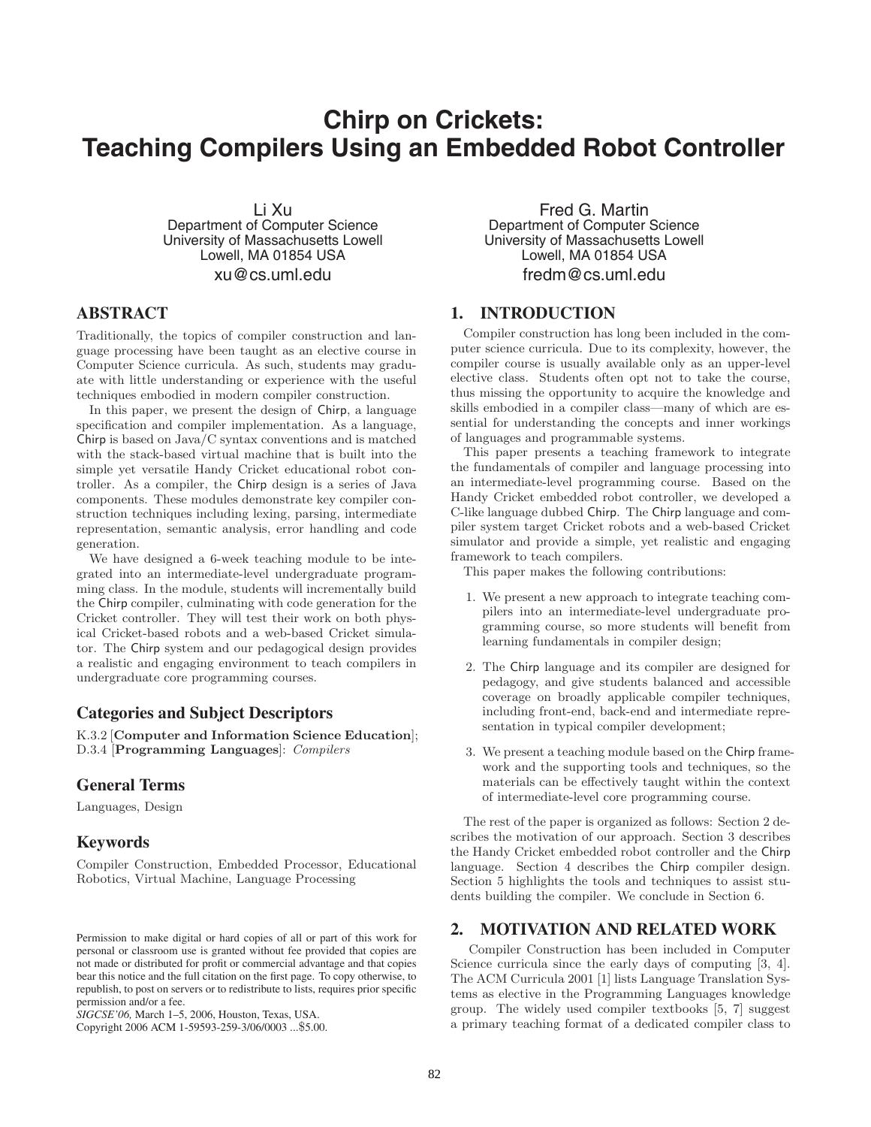# **Chirp on Crickets: Teaching Compilers Using an Embedded Robot Controller**

Li Xu Department of Computer Science University of Massachusetts Lowell Lowell, MA 01854 USA xu@cs.uml.edu

# **ABSTRACT**

Traditionally, the topics of compiler construction and language processing have been taught as an elective course in Computer Science curricula. As such, students may graduate with little understanding or experience with the useful techniques embodied in modern compiler construction.

In this paper, we present the design of Chirp, a language specification and compiler implementation. As a language, Chirp is based on Java/C syntax conventions and is matched with the stack-based virtual machine that is built into the simple yet versatile Handy Cricket educational robot controller. As a compiler, the Chirp design is a series of Java components. These modules demonstrate key compiler construction techniques including lexing, parsing, intermediate representation, semantic analysis, error handling and code generation.

We have designed a 6-week teaching module to be integrated into an intermediate-level undergraduate programming class. In the module, students will incrementally build the Chirp compiler, culminating with code generation for the Cricket controller. They will test their work on both physical Cricket-based robots and a web-based Cricket simulator. The Chirp system and our pedagogical design provides a realistic and engaging environment to teach compilers in undergraduate core programming courses.

#### **Categories and Subject Descriptors**

K.3.2 [**Computer and Information Science Education**]; D.3.4 [**Programming Languages**]: *Compilers*

# **General Terms**

Languages, Design

#### **Keywords**

Compiler Construction, Embedded Processor, Educational Robotics, Virtual Machine, Language Processing

*SIGCSE'06,* March 1–5, 2006, Houston, Texas, USA.

Copyright 2006 ACM 1-59593-259-3/06/0003 ...\$5.00.

Fred G. Martin Department of Computer Science University of Massachusetts Lowell Lowell, MA 01854 USA fredm@cs.uml.edu

# **1. INTRODUCTION**

Compiler construction has long been included in the computer science curricula. Due to its complexity, however, the compiler course is usually available only as an upper-level elective class. Students often opt not to take the course, thus missing the opportunity to acquire the knowledge and skills embodied in a compiler class—many of which are essential for understanding the concepts and inner workings of languages and programmable systems.

This paper presents a teaching framework to integrate the fundamentals of compiler and language processing into an intermediate-level programming course. Based on the Handy Cricket embedded robot controller, we developed a C-like language dubbed Chirp. The Chirp language and compiler system target Cricket robots and a web-based Cricket simulator and provide a simple, yet realistic and engaging framework to teach compilers.

This paper makes the following contributions:

- 1. We present a new approach to integrate teaching compilers into an intermediate-level undergraduate programming course, so more students will benefit from learning fundamentals in compiler design;
- 2. The Chirp language and its compiler are designed for pedagogy, and give students balanced and accessible coverage on broadly applicable compiler techniques, including front-end, back-end and intermediate representation in typical compiler development;
- 3. We present a teaching module based on the Chirp framework and the supporting tools and techniques, so the materials can be effectively taught within the context of intermediate-level core programming course.

The rest of the paper is organized as follows: Section 2 describes the motivation of our approach. Section 3 describes the Handy Cricket embedded robot controller and the Chirp language. Section 4 describes the Chirp compiler design. Section 5 highlights the tools and techniques to assist students building the compiler. We conclude in Section 6.

# **2. MOTIVATION AND RELATED WORK**

Compiler Construction has been included in Computer Science curricula since the early days of computing [3, 4]. The ACM Curricula 2001 [1] lists Language Translation Systems as elective in the Programming Languages knowledge group. The widely used compiler textbooks [5, 7] suggest a primary teaching format of a dedicated compiler class to

Permission to make digital or hard copies of all or part of this work for personal or classroom use is granted without fee provided that copies are not made or distributed for profit or commercial advantage and that copies bear this notice and the full citation on the first page. To copy otherwise, to republish, to post on servers or to redistribute to lists, requires prior specific permission and/or a fee.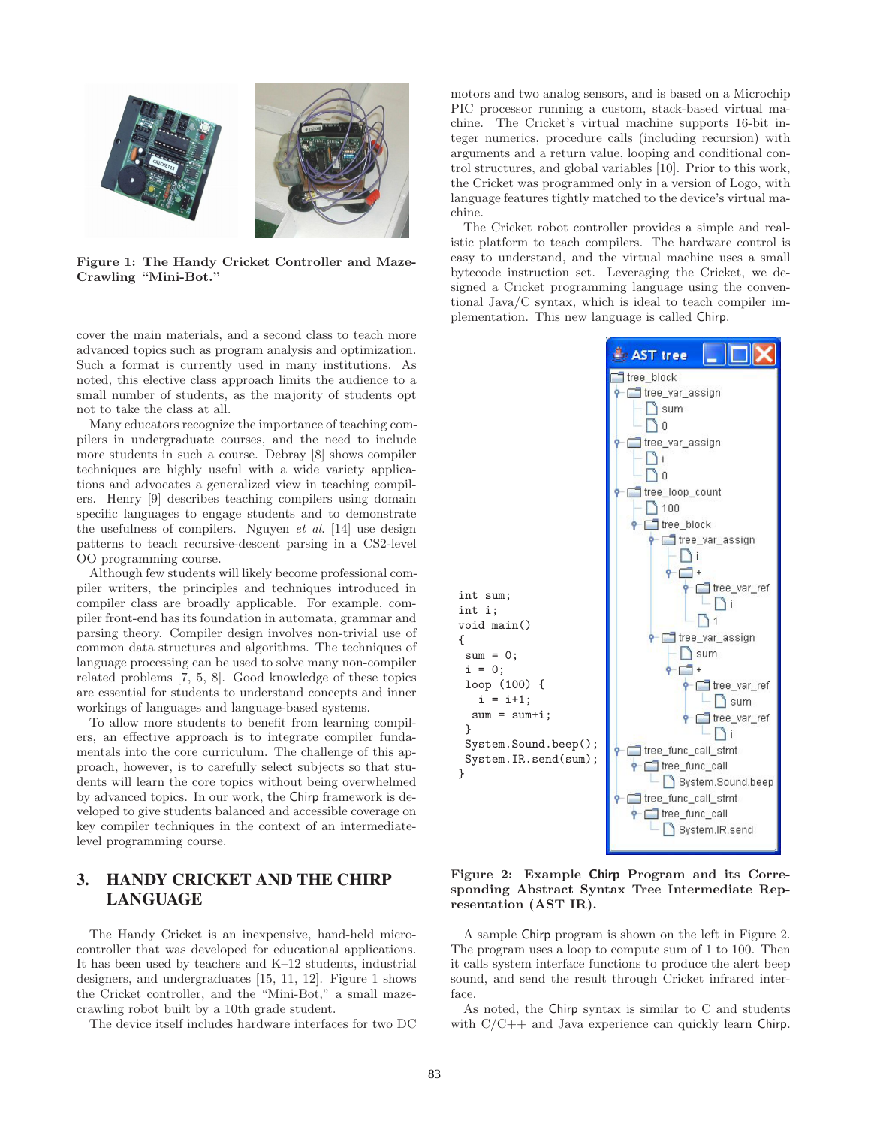

**Figure 1: The Handy Cricket Controller and Maze-Crawling "Mini-Bot."**

cover the main materials, and a second class to teach more advanced topics such as program analysis and optimization. Such a format is currently used in many institutions. As noted, this elective class approach limits the audience to a small number of students, as the majority of students opt not to take the class at all.

Many educators recognize the importance of teaching compilers in undergraduate courses, and the need to include more students in such a course. Debray [8] shows compiler techniques are highly useful with a wide variety applications and advocates a generalized view in teaching compilers. Henry [9] describes teaching compilers using domain specific languages to engage students and to demonstrate the usefulness of compilers. Nguyen *et al*. [14] use design patterns to teach recursive-descent parsing in a CS2-level OO programming course.

Although few students will likely become professional compiler writers, the principles and techniques introduced in compiler class are broadly applicable. For example, compiler front-end has its foundation in automata, grammar and parsing theory. Compiler design involves non-trivial use of common data structures and algorithms. The techniques of language processing can be used to solve many non-compiler related problems [7, 5, 8]. Good knowledge of these topics are essential for students to understand concepts and inner workings of languages and language-based systems.

To allow more students to benefit from learning compilers, an effective approach is to integrate compiler fundamentals into the core curriculum. The challenge of this approach, however, is to carefully select subjects so that students will learn the core topics without being overwhelmed by advanced topics. In our work, the Chirp framework is developed to give students balanced and accessible coverage on key compiler techniques in the context of an intermediatelevel programming course.

# **3. HANDY CRICKET AND THE CHIRP LANGUAGE**

The Handy Cricket is an inexpensive, hand-held microcontroller that was developed for educational applications. It has been used by teachers and K–12 students, industrial designers, and undergraduates [15, 11, 12]. Figure 1 shows the Cricket controller, and the "Mini-Bot," a small mazecrawling robot built by a 10th grade student.

The device itself includes hardware interfaces for two DC

motors and two analog sensors, and is based on a Microchip PIC processor running a custom, stack-based virtual machine. The Cricket's virtual machine supports 16-bit integer numerics, procedure calls (including recursion) with arguments and a return value, looping and conditional control structures, and global variables [10]. Prior to this work, the Cricket was programmed only in a version of Logo, with language features tightly matched to the device's virtual machine.

The Cricket robot controller provides a simple and realistic platform to teach compilers. The hardware control is easy to understand, and the virtual machine uses a small bytecode instruction set. Leveraging the Cricket, we designed a Cricket programming language using the conventional Java/C syntax, which is ideal to teach compiler implementation. This new language is called Chirp.



**Figure 2: Example Chirp Program and its Corresponding Abstract Syntax Tree Intermediate Representation (AST IR).**

A sample Chirp program is shown on the left in Figure 2. The program uses a loop to compute sum of 1 to 100. Then it calls system interface functions to produce the alert beep sound, and send the result through Cricket infrared interface.

As noted, the Chirp syntax is similar to C and students with C/C++ and Java experience can quickly learn Chirp.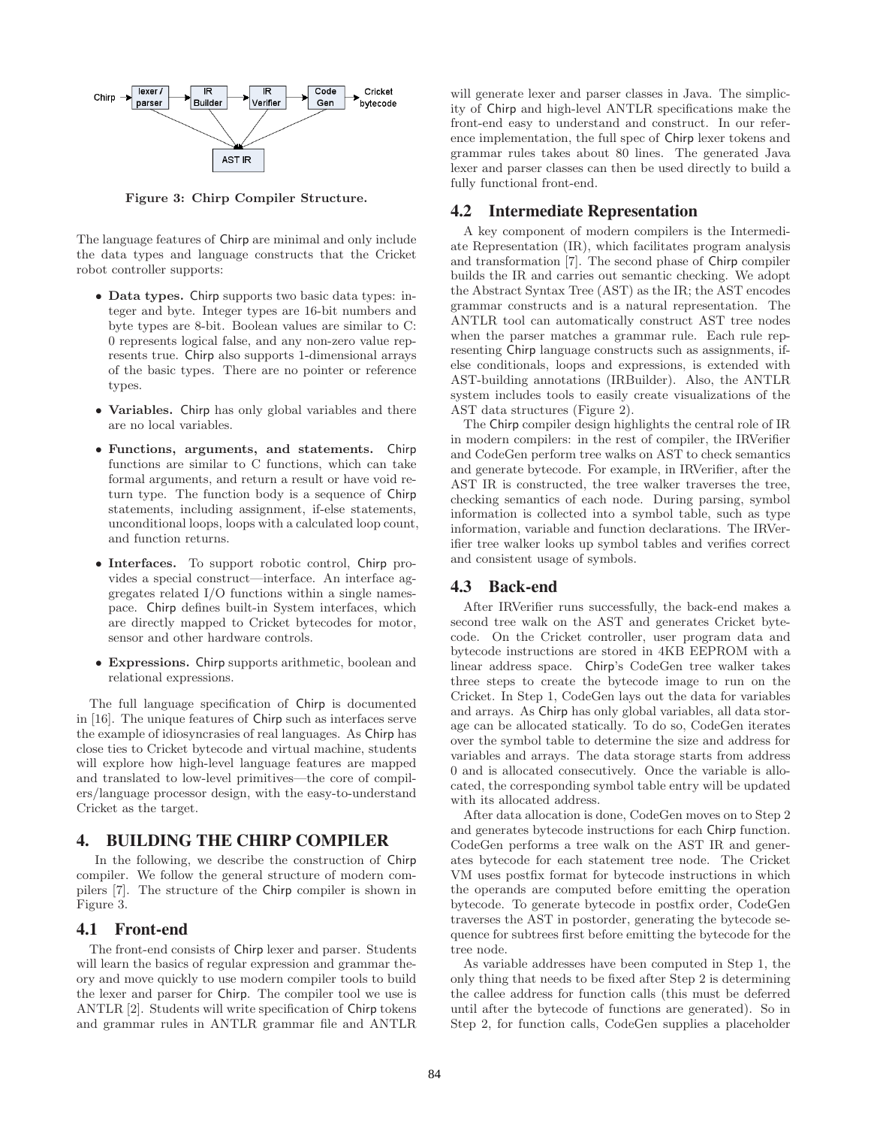

**Figure 3: Chirp Compiler Structure.**

The language features of Chirp are minimal and only include the data types and language constructs that the Cricket robot controller supports:

- **Data types.** Chirp supports two basic data types: integer and byte. Integer types are 16-bit numbers and byte types are 8-bit. Boolean values are similar to C: 0 represents logical false, and any non-zero value represents true. Chirp also supports 1-dimensional arrays of the basic types. There are no pointer or reference types.
- **Variables.** Chirp has only global variables and there are no local variables.
- **Functions, arguments, and statements.** Chirp functions are similar to C functions, which can take formal arguments, and return a result or have void return type. The function body is a sequence of Chirp statements, including assignment, if-else statements, unconditional loops, loops with a calculated loop count, and function returns.
- **Interfaces.** To support robotic control, Chirp provides a special construct—interface. An interface aggregates related I/O functions within a single namespace. Chirp defines built-in System interfaces, which are directly mapped to Cricket bytecodes for motor, sensor and other hardware controls.
- **Expressions.** Chirp supports arithmetic, boolean and relational expressions.

The full language specification of Chirp is documented in [16]. The unique features of Chirp such as interfaces serve the example of idiosyncrasies of real languages. As Chirp has close ties to Cricket bytecode and virtual machine, students will explore how high-level language features are mapped and translated to low-level primitives—the core of compilers/language processor design, with the easy-to-understand Cricket as the target.

# **4. BUILDING THE CHIRP COMPILER**

In the following, we describe the construction of Chirp compiler. We follow the general structure of modern compilers [7]. The structure of the Chirp compiler is shown in Figure 3.

#### **4.1 Front-end**

The front-end consists of Chirp lexer and parser. Students will learn the basics of regular expression and grammar theory and move quickly to use modern compiler tools to build the lexer and parser for Chirp. The compiler tool we use is ANTLR [2]. Students will write specification of Chirp tokens and grammar rules in ANTLR grammar file and ANTLR

will generate lexer and parser classes in Java. The simplicity of Chirp and high-level ANTLR specifications make the front-end easy to understand and construct. In our reference implementation, the full spec of Chirp lexer tokens and grammar rules takes about 80 lines. The generated Java lexer and parser classes can then be used directly to build a fully functional front-end.

### **4.2 Intermediate Representation**

A key component of modern compilers is the Intermediate Representation (IR), which facilitates program analysis and transformation [7]. The second phase of Chirp compiler builds the IR and carries out semantic checking. We adopt the Abstract Syntax Tree (AST) as the IR; the AST encodes grammar constructs and is a natural representation. The ANTLR tool can automatically construct AST tree nodes when the parser matches a grammar rule. Each rule representing Chirp language constructs such as assignments, ifelse conditionals, loops and expressions, is extended with AST-building annotations (IRBuilder). Also, the ANTLR system includes tools to easily create visualizations of the AST data structures (Figure 2).

The Chirp compiler design highlights the central role of IR in modern compilers: in the rest of compiler, the IRVerifier and CodeGen perform tree walks on AST to check semantics and generate bytecode. For example, in IRVerifier, after the AST IR is constructed, the tree walker traverses the tree, checking semantics of each node. During parsing, symbol information is collected into a symbol table, such as type information, variable and function declarations. The IRVerifier tree walker looks up symbol tables and verifies correct and consistent usage of symbols.

#### **4.3 Back-end**

After IRVerifier runs successfully, the back-end makes a second tree walk on the AST and generates Cricket bytecode. On the Cricket controller, user program data and bytecode instructions are stored in 4KB EEPROM with a linear address space. Chirp's CodeGen tree walker takes three steps to create the bytecode image to run on the Cricket. In Step 1, CodeGen lays out the data for variables and arrays. As Chirp has only global variables, all data storage can be allocated statically. To do so, CodeGen iterates over the symbol table to determine the size and address for variables and arrays. The data storage starts from address 0 and is allocated consecutively. Once the variable is allocated, the corresponding symbol table entry will be updated with its allocated address.

After data allocation is done, CodeGen moves on to Step 2 and generates bytecode instructions for each Chirp function. CodeGen performs a tree walk on the AST IR and generates bytecode for each statement tree node. The Cricket VM uses postfix format for bytecode instructions in which the operands are computed before emitting the operation bytecode. To generate bytecode in postfix order, CodeGen traverses the AST in postorder, generating the bytecode sequence for subtrees first before emitting the bytecode for the tree node.

As variable addresses have been computed in Step 1, the only thing that needs to be fixed after Step 2 is determining the callee address for function calls (this must be deferred until after the bytecode of functions are generated). So in Step 2, for function calls, CodeGen supplies a placeholder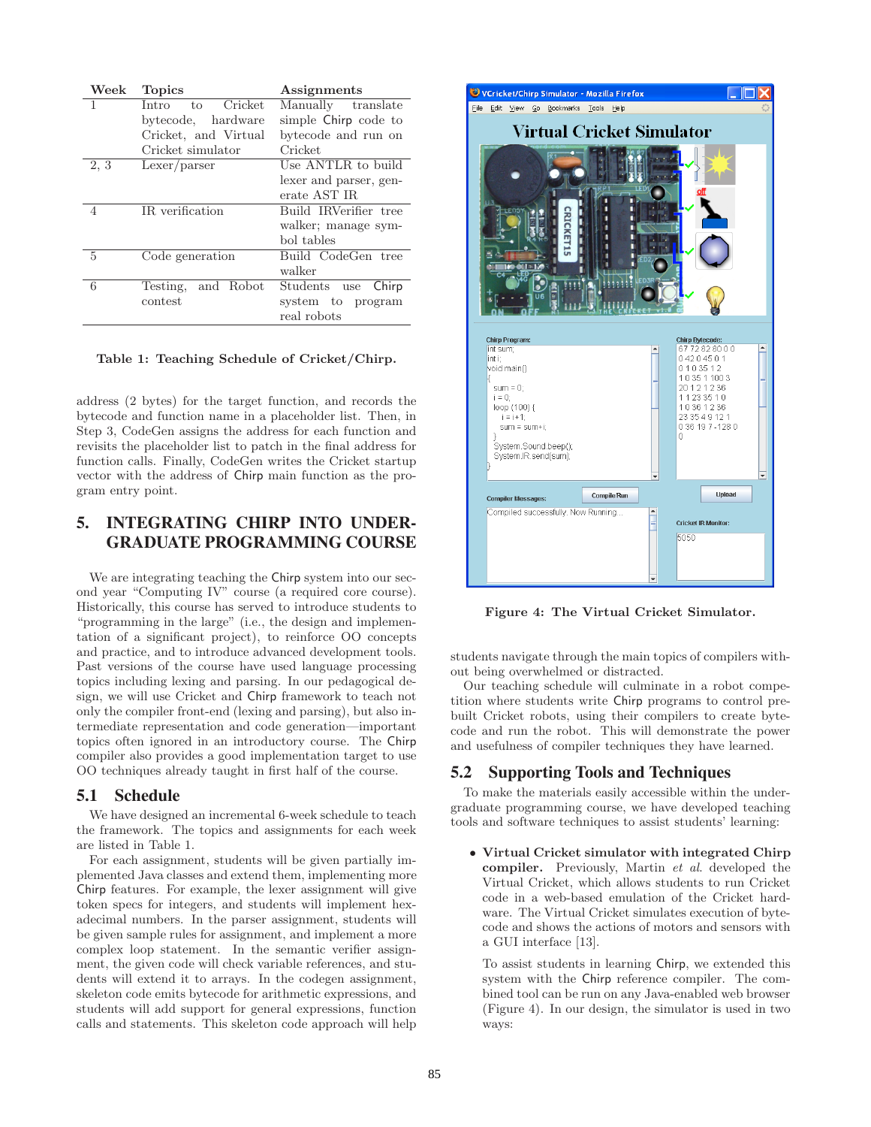| Week           | <b>Topics</b>          | Assignments            |
|----------------|------------------------|------------------------|
| 1              | Cricket<br>Intro<br>to | Manually translate     |
|                | bytecode, hardware     | simple Chirp code to   |
|                | Cricket, and Virtual   | bytecode and run on    |
|                | Cricket simulator      | Cricket                |
| 2, 3           | Lexer/parser           | Use ANTLR to build     |
|                |                        | lexer and parser, gen- |
|                |                        | erate AST IR           |
| $\overline{4}$ | IR verification        | Build IRVerifier tree  |
|                |                        | walker; manage sym-    |
|                |                        | bol tables             |
| 5              | Code generation        | Build CodeGen<br>tree  |
|                |                        | walker                 |
| 6              | and Robot<br>Testing,  | Students use<br>Chirp  |
|                | contest                | system to program      |
|                |                        | real robots            |

**Table 1: Teaching Schedule of Cricket/Chirp.**

address (2 bytes) for the target function, and records the bytecode and function name in a placeholder list. Then, in Step 3, CodeGen assigns the address for each function and revisits the placeholder list to patch in the final address for function calls. Finally, CodeGen writes the Cricket startup vector with the address of Chirp main function as the program entry point.

# **5. INTEGRATING CHIRP INTO UNDER-GRADUATE PROGRAMMING COURSE**

We are integrating teaching the Chirp system into our second year "Computing IV" course (a required core course). Historically, this course has served to introduce students to "programming in the large" (i.e., the design and implementation of a significant project), to reinforce OO concepts and practice, and to introduce advanced development tools. Past versions of the course have used language processing topics including lexing and parsing. In our pedagogical design, we will use Cricket and Chirp framework to teach not only the compiler front-end (lexing and parsing), but also intermediate representation and code generation—important topics often ignored in an introductory course. The Chirp compiler also provides a good implementation target to use OO techniques already taught in first half of the course.

# **5.1 Schedule**

We have designed an incremental 6-week schedule to teach the framework. The topics and assignments for each week are listed in Table 1.

For each assignment, students will be given partially implemented Java classes and extend them, implementing more Chirp features. For example, the lexer assignment will give token specs for integers, and students will implement hexadecimal numbers. In the parser assignment, students will be given sample rules for assignment, and implement a more complex loop statement. In the semantic verifier assignment, the given code will check variable references, and students will extend it to arrays. In the codegen assignment, skeleton code emits bytecode for arithmetic expressions, and students will add support for general expressions, function calls and statements. This skeleton code approach will help



**Figure 4: The Virtual Cricket Simulator.**

students navigate through the main topics of compilers without being overwhelmed or distracted.

Our teaching schedule will culminate in a robot competition where students write Chirp programs to control prebuilt Cricket robots, using their compilers to create bytecode and run the robot. This will demonstrate the power and usefulness of compiler techniques they have learned.

# **5.2 Supporting Tools and Techniques**

To make the materials easily accessible within the undergraduate programming course, we have developed teaching tools and software techniques to assist students' learning:

• **Virtual Cricket simulator with integrated Chirp compiler.** Previously, Martin *et al*. developed the Virtual Cricket, which allows students to run Cricket code in a web-based emulation of the Cricket hardware. The Virtual Cricket simulates execution of bytecode and shows the actions of motors and sensors with a GUI interface [13].

To assist students in learning Chirp, we extended this system with the Chirp reference compiler. The combined tool can be run on any Java-enabled web browser (Figure 4). In our design, the simulator is used in two ways: